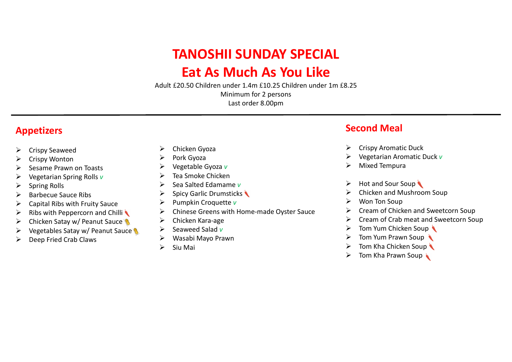# TANOSHII SUNDAY SPECIAL

## Eat As Much As You Like

Adult £20.50 Children under 1.4m £10.25 Children under 1m £8.25 Minimum for 2 persons Last order 8.00pm

## Appetizers

- Ø Crispy Seaweed
- **Crispy Wonton**
- $\triangleright$  Sesame Prawn on Toasts
- $\triangleright$  Vegetarian Spring Rolls v
- $\triangleright$  Spring Rolls
- $\triangleright$  Barbecue Sauce Ribs
- $\triangleright$  Capital Ribs with Fruity Sauce
- $\triangleright$  Ribs with Peppercorn and Chilli
- $\triangleright$  Chicken Satay w/ Peanut Sauce
- $\triangleright$  Vegetables Satay w/ Peanut Sauce
- $\triangleright$  Deep Fried Crab Claws
- $\triangleright$  Chicken Gyoza
- $\triangleright$  Pork Gyoza
- $\triangleright$  Vegetable Gyoza v
- $\triangleright$  Tea Smoke Chicken
- $\triangleright$  Sea Salted Edamame v
- $\triangleright$  Spicy Garlic Drumsticks
- $\triangleright$  Pumpkin Croquette v
- $\triangleright$  Chinese Greens with Home-made Oyster Sauce
- $\triangleright$  Chicken Kara-age
- $\triangleright$  Seaweed Salad v
- Ø Wasabi Mayo Prawn
- $\triangleright$  Siu Mai

## Second Meal

- $\triangleright$  Crispy Aromatic Duck
- Vegetarian Aromatic Duck v
- **Mixed Tempura**
- $\triangleright$  Hot and Sour Soup
- $\triangleright$  Chicken and Mushroom Soup
- $\triangleright$  Won Ton Soup
- Ø Cream of Chicken and Sweetcorn Soup
- $\triangleright$  Cream of Crab meat and Sweetcorn Soup
- $\triangleright$  Tom Yum Chicken Soup
- $\triangleright$  Tom Yum Prawn Soup
- $\triangleright$  Tom Kha Chicken Soup
- $\triangleright$  Tom Kha Prawn Soup